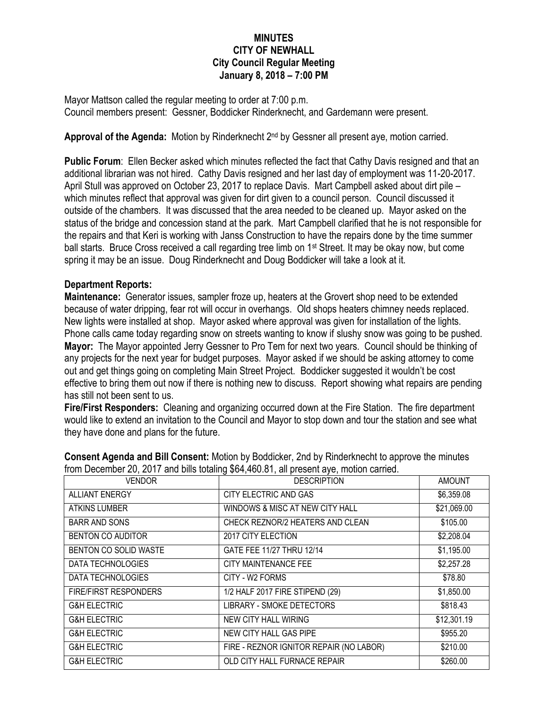## **MINUTES CITY OF NEWHALL City Council Regular Meeting January 8, 2018 – 7:00 PM**

Mayor Mattson called the regular meeting to order at 7:00 p.m. Council members present: Gessner, Boddicker Rinderknecht, and Gardemann were present.

Approval of the Agenda: Motion by Rinderknecht 2<sup>nd</sup> by Gessner all present aye, motion carried.

**Public Forum**: Ellen Becker asked which minutes reflected the fact that Cathy Davis resigned and that an additional librarian was not hired. Cathy Davis resigned and her last day of employment was 11-20-2017. April Stull was approved on October 23, 2017 to replace Davis. Mart Campbell asked about dirt pile – which minutes reflect that approval was given for dirt given to a council person. Council discussed it outside of the chambers. It was discussed that the area needed to be cleaned up. Mayor asked on the status of the bridge and concession stand at the park. Mart Campbell clarified that he is not responsible for the repairs and that Keri is working with Janss Construction to have the repairs done by the time summer ball starts. Bruce Cross received a call regarding tree limb on 1st Street. It may be okay now, but come spring it may be an issue. Doug Rinderknecht and Doug Boddicker will take a look at it.

## **Department Reports:**

**Maintenance:** Generator issues, sampler froze up, heaters at the Grovert shop need to be extended because of water dripping, fear rot will occur in overhangs. Old shops heaters chimney needs replaced. New lights were installed at shop. Mayor asked where approval was given for installation of the lights. Phone calls came today regarding snow on streets wanting to know if slushy snow was going to be pushed. **Mayor:** The Mayor appointed Jerry Gessner to Pro Tem for next two years. Council should be thinking of any projects for the next year for budget purposes. Mayor asked if we should be asking attorney to come out and get things going on completing Main Street Project. Boddicker suggested it wouldn't be cost effective to bring them out now if there is nothing new to discuss. Report showing what repairs are pending has still not been sent to us.

**Fire/First Responders:** Cleaning and organizing occurred down at the Fire Station. The fire department would like to extend an invitation to the Council and Mayor to stop down and tour the station and see what they have done and plans for the future.

| <b>VENDOR</b>           | <b>DESCRIPTION</b>                      | <b>AMOUNT</b> |
|-------------------------|-----------------------------------------|---------------|
| <b>ALLIANT ENERGY</b>   | CITY ELECTRIC AND GAS                   | \$6,359.08    |
| <b>ATKINS LUMBER</b>    | WINDOWS & MISC AT NEW CITY HALL         | \$21,069.00   |
| <b>BARR AND SONS</b>    | CHECK REZNOR/2 HEATERS AND CLEAN        | \$105.00      |
| BENTON CO AUDITOR       | 2017 CITY ELECTION                      | \$2,208.04    |
| BENTON CO SOLID WASTE   | GATE FEE 11/27 THRU 12/14               | \$1,195.00    |
| DATA TECHNOLOGIES       | <b>CITY MAINTENANCE FEE</b>             | \$2,257.28    |
| DATA TECHNOLOGIES       | CITY - W2 FORMS                         | \$78.80       |
| FIRE/FIRST RESPONDERS   | 1/2 HALF 2017 FIRE STIPEND (29)         | \$1,850.00    |
| <b>G&amp;H ELECTRIC</b> | <b>LIBRARY - SMOKE DETECTORS</b>        | \$818.43      |
| <b>G&amp;H ELECTRIC</b> | NEW CITY HALL WIRING                    | \$12,301.19   |
| <b>G&amp;H ELECTRIC</b> | NEW CITY HALL GAS PIPE                  | \$955.20      |
| <b>G&amp;H ELECTRIC</b> | FIRE - REZNOR IGNITOR REPAIR (NO LABOR) | \$210.00      |
| <b>G&amp;H ELECTRIC</b> | OLD CITY HALL FURNACE REPAIR            | \$260.00      |

**Consent Agenda and Bill Consent:** Motion by Boddicker, 2nd by Rinderknecht to approve the minutes from December 20, 2017 and bills totaling \$64,460.81, all present aye, motion carried.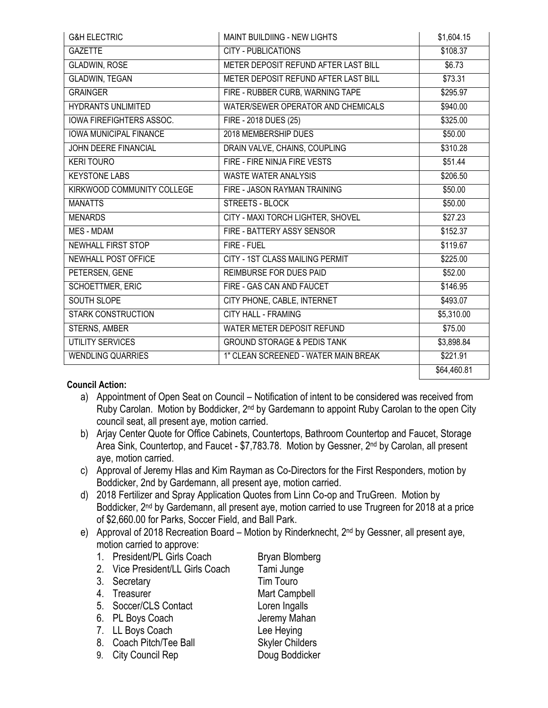| <b>G&amp;H ELECTRIC</b>       | MAINT BUILDIING - NEW LIGHTS           | \$1,604.15           |
|-------------------------------|----------------------------------------|----------------------|
| <b>GAZETTE</b>                | <b>CITY - PUBLICATIONS</b>             | \$108.37             |
| <b>GLADWIN, ROSE</b>          | METER DEPOSIT REFUND AFTER LAST BILL   | \$6.73               |
| <b>GLADWIN, TEGAN</b>         | METER DEPOSIT REFUND AFTER LAST BILL   | \$73.31              |
| <b>GRAINGER</b>               | FIRE - RUBBER CURB, WARNING TAPE       | \$295.97             |
| <b>HYDRANTS UNLIMITED</b>     | WATER/SEWER OPERATOR AND CHEMICALS     | \$940.00             |
| IOWA FIREFIGHTERS ASSOC.      | FIRE - 2018 DUES (25)                  | \$325.00             |
| <b>IOWA MUNICIPAL FINANCE</b> | 2018 MEMBERSHIP DUES                   | \$50.00              |
| JOHN DEERE FINANCIAL          | DRAIN VALVE, CHAINS, COUPLING          | \$310.28             |
| <b>KERI TOURO</b>             | FIRE - FIRE NINJA FIRE VESTS           | \$51.44              |
| <b>KEYSTONE LABS</b>          | <b>WASTE WATER ANALYSIS</b>            | \$206.50             |
| KIRKWOOD COMMUNITY COLLEGE    | FIRE - JASON RAYMAN TRAINING           | \$50.00              |
| <b>MANATTS</b>                | STREETS - BLOCK                        | \$50.00              |
| <b>MENARDS</b>                | CITY - MAXI TORCH LIGHTER, SHOVEL      | \$27.23              |
| <b>MES - MDAM</b>             | FIRE - BATTERY ASSY SENSOR             | $\overline{$}152.37$ |
| NEWHALL FIRST STOP            | FIRE - FUEL                            | \$119.67             |
| <b>NEWHALL POST OFFICE</b>    | <b>CITY - 1ST CLASS MAILING PERMIT</b> | \$225.00             |
| PETERSEN, GENE                | REIMBURSE FOR DUES PAID                | \$52.00              |
| SCHOETTMER, ERIC              | FIRE - GAS CAN AND FAUCET              | \$146.95             |
| <b>SOUTH SLOPE</b>            | CITY PHONE, CABLE, INTERNET            | \$493.07             |
| <b>STARK CONSTRUCTION</b>     | <b>CITY HALL - FRAMING</b>             | \$5,310.00           |
| STERNS, AMBER                 | WATER METER DEPOSIT REFUND             | \$75.00              |
| <b>UTILITY SERVICES</b>       | <b>GROUND STORAGE &amp; PEDIS TANK</b> | \$3,898.84           |
| <b>WENDLING QUARRIES</b>      | 1" CLEAN SCREENED - WATER MAIN BREAK   | \$221.91             |
|                               |                                        | \$64,460.81          |

## **Council Action:**

- a) Appointment of Open Seat on Council Notification of intent to be considered was received from Ruby Carolan. Motion by Boddicker, 2<sup>nd</sup> by Gardemann to appoint Ruby Carolan to the open City council seat, all present aye, motion carried.
- b) Arjay Center Quote for Office Cabinets, Countertops, Bathroom Countertop and Faucet, Storage Area Sink, Countertop, and Faucet - \$7,783.78. Motion by Gessner, 2<sup>nd</sup> by Carolan, all present aye, motion carried.
- c) Approval of Jeremy Hlas and Kim Rayman as Co-Directors for the First Responders, motion by Boddicker, 2nd by Gardemann, all present aye, motion carried.
- d) 2018 Fertilizer and Spray Application Quotes from Linn Co-op and TruGreen. Motion by Boddicker, 2<sup>nd</sup> by Gardemann, all present aye, motion carried to use Trugreen for 2018 at a price of \$2,660.00 for Parks, Soccer Field, and Ball Park.
- e) Approval of 2018 Recreation Board Motion by Rinderknecht, 2<sup>nd</sup> by Gessner, all present aye, motion carried to approve:
	- 1. President/PL Girls Coach Bryan Blomberg 2. Vice President/LL Girls Coach Tami Junge
	- 3. Secretary Tim Touro
	-
	- 5. Soccer/CLS Contact Loren Ingalls
	- 6. PL Boys Coach Jeremy Mahan
	- 7. LL Boys Coach Lee Heying
	- 8. Coach Pitch/Tee Ball Skyler Childers
	- 9. City Council Rep Doug Boddicker
	- 4. Treasurer Mart Campbell